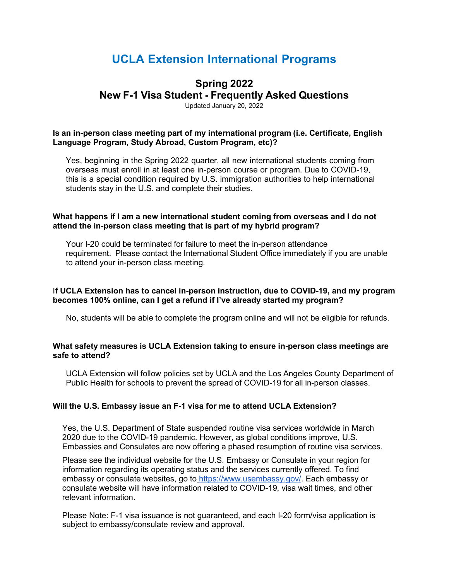# **UCLA Extension International Programs**

# **Spring 2022**

**New F-1 Visa Student - Frequently Asked Questions**

Updated January 20, 2022

#### **Is an in-person class meeting part of my international program (i.e. Certificate, English Language Program, Study Abroad, Custom Program, etc)?**

Yes, beginning in the Spring 2022 quarter, all new international students coming from overseas must enroll in at least one in-person course or program. Due to COVID-19, this is a special condition required by U.S. immigration authorities to help international students stay in the U.S. and complete their studies.

#### **What happens if I am a new international student coming from overseas and I do not attend the in-person class meeting that is part of my hybrid program?**

Your I-20 could be terminated for failure to meet the in-person attendance requirement. Please contact the International Student Office immediately if you are unable to attend your in-person class meeting.

#### I**f UCLA Extension has to cancel in-person instruction, due to COVID-19, and my program becomes 100% online, can I get a refund if I've already started my program?**

No, students will be able to complete the program online and will not be eligible for refunds.

#### **What safety measures is UCLA Extension taking to ensure in-person class meetings are safe to attend?**

UCLA Extension will follow policies set by UCLA and the Los Angeles County Department of Public Health for schools to prevent the spread of COVID-19 for all in-person classes.

## **Will the U.S. Embassy issue an F-1 visa for me to attend UCLA Extension?**

Yes, the U.S. Department of State suspended routine visa services worldwide in March 2020 due to the COVID-19 pandemic. However, as global conditions improve, U.S. Embassies and Consulates are now offering a phased resumption of routine visa services.

Please see the individual website for the U.S. Embassy or Consulate in your region for information regarding its operating status and the services currently offered. To find embassy or consulate websites, go to https:/[/www.usembassy.gov/. E](http://www.usembassy.gov/)ach embassy or consulate website will have information related to COVID-19, visa wait times, and other relevant information.

Please Note: F-1 visa issuance is not guaranteed, and each I-20 form/visa application is subject to embassy/consulate review and approval.